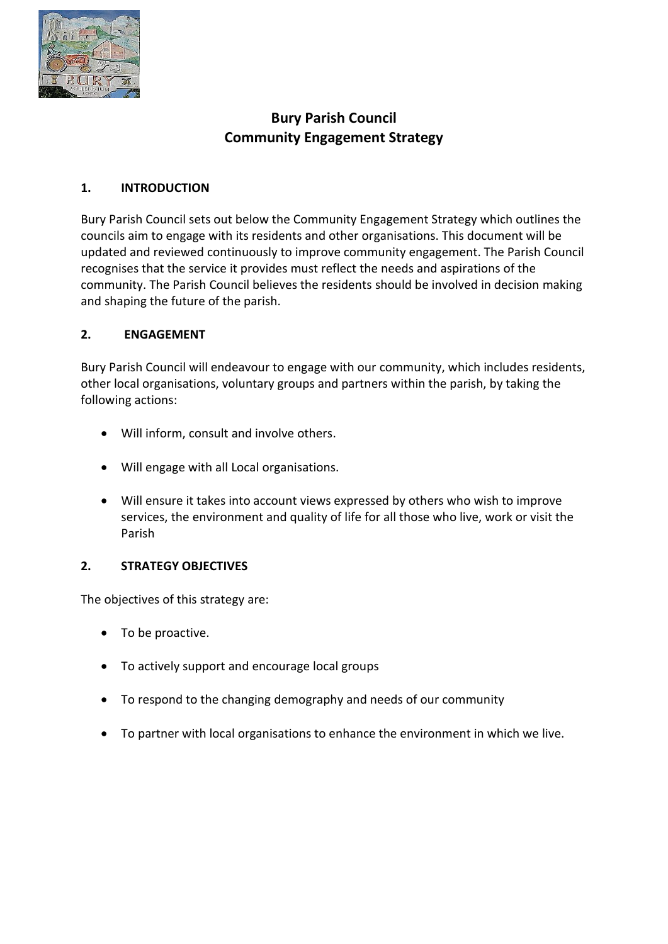

# **Bury Parish Council Community Engagement Strategy**

## **1. INTRODUCTION**

Bury Parish Council sets out below the Community Engagement Strategy which outlines the councils aim to engage with its residents and other organisations. This document will be updated and reviewed continuously to improve community engagement. The Parish Council recognises that the service it provides must reflect the needs and aspirations of the community. The Parish Council believes the residents should be involved in decision making and shaping the future of the parish.

### **2. ENGAGEMENT**

Bury Parish Council will endeavour to engage with our community, which includes residents, other local organisations, voluntary groups and partners within the parish, by taking the following actions:

- Will inform, consult and involve others.
- Will engage with all Local organisations.
- Will ensure it takes into account views expressed by others who wish to improve services, the environment and quality of life for all those who live, work or visit the Parish

### **2. STRATEGY OBJECTIVES**

The objectives of this strategy are:

- To be proactive.
- To actively support and encourage local groups
- To respond to the changing demography and needs of our community
- To partner with local organisations to enhance the environment in which we live.